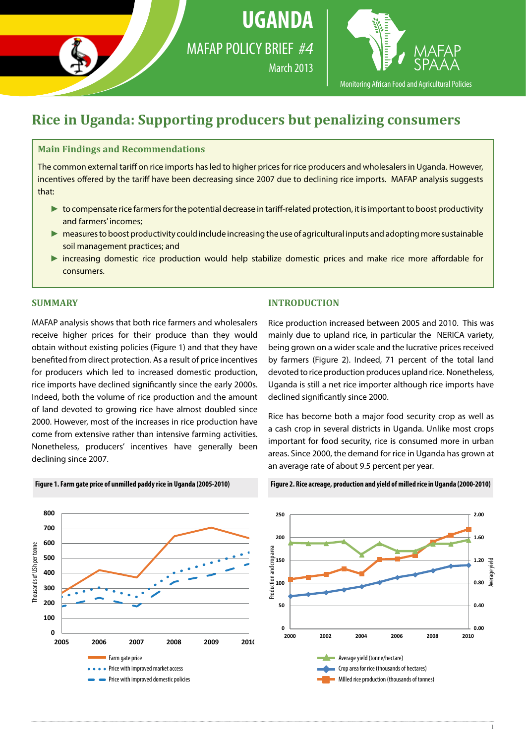

**UGANDA**



Monitoring African Food and Agricultural Policies

# **Rice in Uganda: Supporting producers but penalizing consumers**

## **Main Findings and Recommendations**

The common external tariff on rice imports has led to higher prices for rice producers and wholesalers in Uganda. However, incentives offered by the tariff have been decreasing since 2007 due to declining rice imports. MAFAP analysis suggests that:

- ► to compensate rice farmers for the potential decrease in tariff-related protection, it is important to boost productivity and farmers' incomes;
- ► measures to boost productivity could include increasing the use of agricultural inputs and adopting more sustainable soil management practices; and
- ► increasing domestic rice production would help stabilize domestic prices and make rice more affordable for consumers.

### **SUMMARY**

MAFAP analysis shows that both rice farmers and wholesalers receive higher prices for their produce than they would obtain without existing policies (Figure 1) and that they have benefited from direct protection. As a result of price incentives for producers which led to increased domestic production, rice imports have declined significantly since the early 2000s. Indeed, both the volume of rice production and the amount of land devoted to growing rice have almost doubled since 2000. However, most of the increases in rice production have come from extensive rather than intensive farming activities. Nonetheless, producers' incentives have generally been declining since 2007.

#### **INTRODUCTION**

Rice production increased between 2005 and 2010. This was mainly due to upland rice, in particular the NERICA variety, being grown on a wider scale and the lucrative prices received by farmers (Figure 2). Indeed, 71 percent of the total land devoted to rice production produces upland rice. Nonetheless, Uganda is still a net rice importer although rice imports have declined significantly since 2000.

Rice has become both a major food security crop as well as a cash crop in several districts in Uganda. Unlike most crops important for food security, rice is consumed more in urban areas. Since 2000, the demand for rice in Uganda has grown at an average rate of about 9.5 percent per year.



**Figure 2. Rice acreage, production and yield of milled rice in Uganda (2000-2010)**